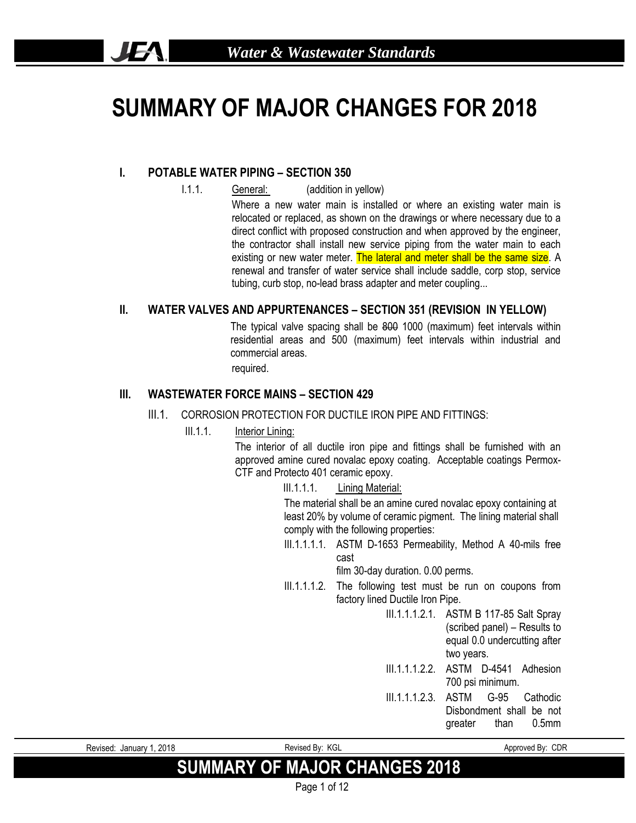# **SUMMARY OF MAJOR CHANGES FOR 2018**

#### **I. POTABLE WATER PIPING – SECTION 350**

**JEA** 

- I.1.1. General: (addition in yellow)
	- Where a new water main is installed or where an existing water main is relocated or replaced, as shown on the drawings or where necessary due to a direct conflict with proposed construction and when approved by the engineer, the contractor shall install new service piping from the water main to each existing or new water meter. The lateral and meter shall be the same size. A renewal and transfer of water service shall include saddle, corp stop, service tubing, curb stop, no-lead brass adapter and meter coupling...

#### **II. WATER VALVES AND APPURTENANCES – SECTION 351 (REVISION IN YELLOW)**

The typical valve spacing shall be 800 1000 (maximum) feet intervals within residential areas and 500 (maximum) feet intervals within industrial and commercial areas.

required.

#### **III. WASTEWATER FORCE MAINS – SECTION 429**

- III.1. CORROSION PROTECTION FOR DUCTILE IRON PIPE AND FITTINGS:
	- III.1.1. Interior Lining:

The interior of all ductile iron pipe and fittings shall be furnished with an approved amine cured novalac epoxy coating. Acceptable coatings Permox-CTF and Protecto 401 ceramic epoxy.

III.1.1.1. Lining Material:

The material shall be an amine cured novalac epoxy containing at least 20% by volume of ceramic pigment. The lining material shall comply with the following properties:

III.1.1.1.1. ASTM D-1653 Permeability, Method A 40-mils free cast

film 30-day duration. 0.00 perms.

- III.1.1.1.2. The following test must be run on coupons from factory lined Ductile Iron Pipe.
	- III.1.1.1.2.1. ASTM B 117-85 Salt Spray (scribed panel) – Results to equal 0.0 undercutting after two years.
	- III.1.1.1.2.2. ASTM D-4541 Adhesion 700 psi minimum.
	- III.1.1.1.2.3. ASTM G-95 Cathodic Disbondment shall be not greater than 0.5mm

Revised: January 1, 2018 **Revised By: KGL Approved By: CDR** Approved By: CDR

## **SUMMARY OF MAJOR CHANGES 2018**

Page 1 of 12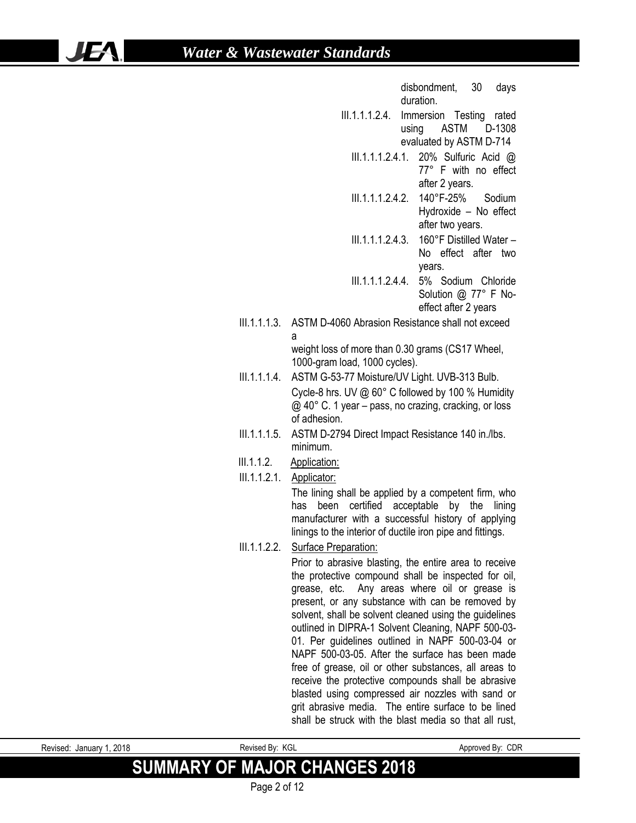IF/

disbondment, 30 days duration.

- III.1.1.1.2.4. Immersion Testing rated using ASTM D-1308 evaluated by ASTM D-714
	- III.1.1.1.2.4.1. 20% Sulfuric Acid @ 77° F with no effect after 2 years.
		- III.1.1.1.2.4.2. 140°F-25% Sodium Hydroxide – No effect after two years.
	- III.1.1.1.2.4.3. 160°F Distilled Water No effect after two years.
	- III.1.1.1.2.4.4. 5% Sodium Chloride Solution @ 77° F Noeffect after 2 years
- III.1.1.1.3. ASTM D-4060 Abrasion Resistance shall not exceed a

weight loss of more than 0.30 grams (CS17 Wheel, 1000-gram load, 1000 cycles).

- III.1.1.1.4. ASTM G-53-77 Moisture/UV Light. UVB-313 Bulb. Cycle-8 hrs. UV @ 60° C followed by 100 % Humidity @ 40° C. 1 year – pass, no crazing, cracking, or loss of adhesion.
- III.1.1.1.5. ASTM D-2794 Direct Impact Resistance 140 in./lbs. minimum.
- III.1.1.2. Application:
- III.1.1.2.1. Applicator: The lining shall be applied by a competent firm, who has been certified acceptable by the lining manufacturer with a successful history of applying
- linings to the interior of ductile iron pipe and fittings. III.1.1.2.2. Surface Preparation:

Prior to abrasive blasting, the entire area to receive the protective compound shall be inspected for oil, grease, etc. Any areas where oil or grease is present, or any substance with can be removed by solvent, shall be solvent cleaned using the guidelines outlined in DIPRA-1 Solvent Cleaning, NAPF 500-03- 01. Per guidelines outlined in NAPF 500-03-04 or NAPF 500-03-05. After the surface has been made free of grease, oil or other substances, all areas to receive the protective compounds shall be abrasive blasted using compressed air nozzles with sand or grit abrasive media. The entire surface to be lined shall be struck with the blast media so that all rust,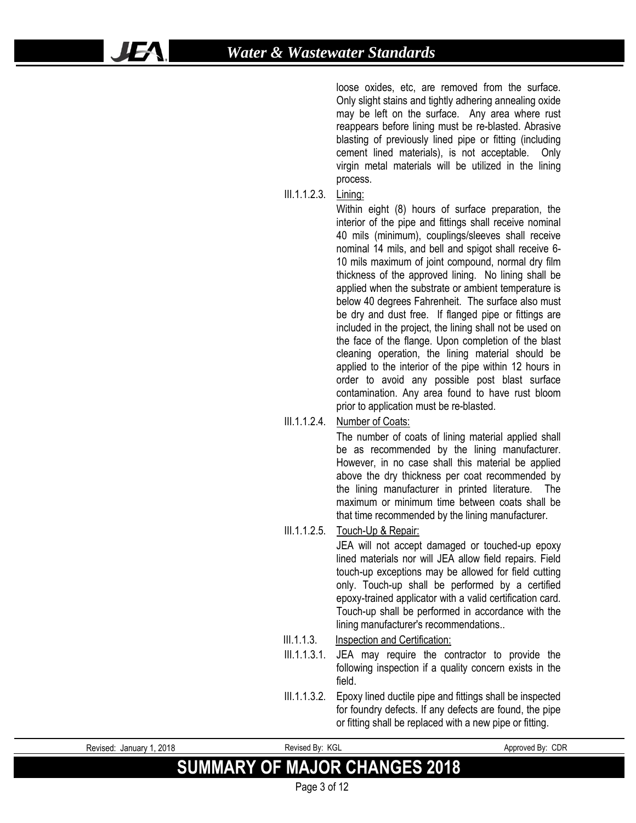loose oxides, etc, are removed from the surface. Only slight stains and tightly adhering annealing oxide may be left on the surface. Any area where rust reappears before lining must be re-blasted. Abrasive blasting of previously lined pipe or fitting (including cement lined materials), is not acceptable. Only virgin metal materials will be utilized in the lining process.

III.1.1.2.3. Lining:

Within eight (8) hours of surface preparation, the interior of the pipe and fittings shall receive nominal 40 mils (minimum), couplings/sleeves shall receive nominal 14 mils, and bell and spigot shall receive 6- 10 mils maximum of joint compound, normal dry film thickness of the approved lining. No lining shall be applied when the substrate or ambient temperature is below 40 degrees Fahrenheit. The surface also must be dry and dust free. If flanged pipe or fittings are included in the project, the lining shall not be used on the face of the flange. Upon completion of the blast cleaning operation, the lining material should be applied to the interior of the pipe within 12 hours in order to avoid any possible post blast surface contamination. Any area found to have rust bloom prior to application must be re-blasted.

#### III.1.1.2.4. Number of Coats:

The number of coats of lining material applied shall be as recommended by the lining manufacturer. However, in no case shall this material be applied above the dry thickness per coat recommended by the lining manufacturer in printed literature. The maximum or minimum time between coats shall be that time recommended by the lining manufacturer.

#### III.1.1.2.5. Touch-Up & Repair:

JEA will not accept damaged or touched-up epoxy lined materials nor will JEA allow field repairs. Field touch-up exceptions may be allowed for field cutting only. Touch-up shall be performed by a certified epoxy-trained applicator with a valid certification card. Touch-up shall be performed in accordance with the lining manufacturer's recommendations..

#### III.1.1.3. Inspection and Certification:

- III.1.1.3.1. JEA may require the contractor to provide the following inspection if a quality concern exists in the field.
- III.1.1.3.2. Epoxy lined ductile pipe and fittings shall be inspected for foundry defects. If any defects are found, the pipe or fitting shall be replaced with a new pipe or fitting.

| Revised: January 1, 2018 |  |
|--------------------------|--|

UF.

Revised By: KGL Approved By: CDR

## **SUMMARY OF MAJOR CHANGES 2018**

Page 3 of 12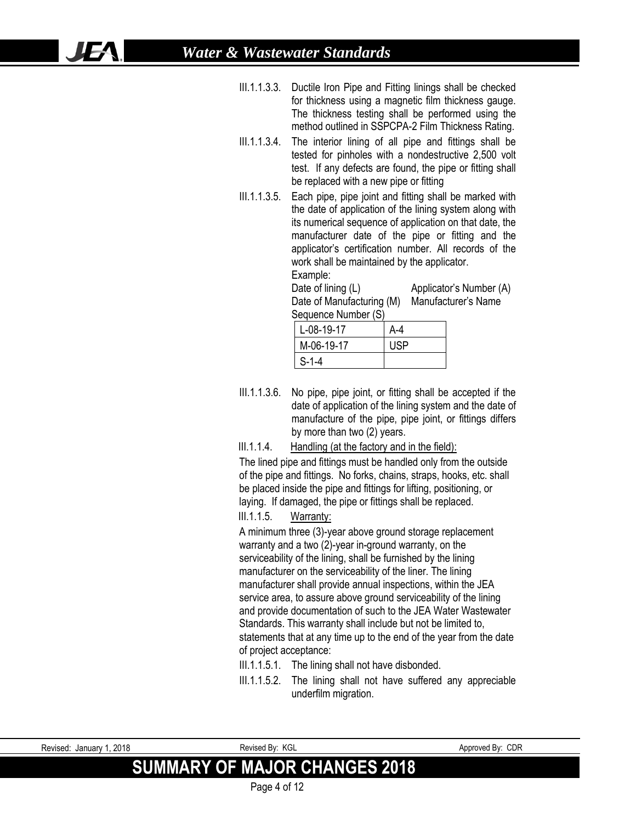- III.1.1.3.3. Ductile Iron Pipe and Fitting linings shall be checked for thickness using a magnetic film thickness gauge. The thickness testing shall be performed using the method outlined in SSPCPA-2 Film Thickness Rating.
- III.1.1.3.4. The interior lining of all pipe and fittings shall be tested for pinholes with a nondestructive 2,500 volt test. If any defects are found, the pipe or fitting shall be replaced with a new pipe or fitting
- III.1.1.3.5. Each pipe, pipe joint and fitting shall be marked with the date of application of the lining system along with its numerical sequence of application on that date, the manufacturer date of the pipe or fitting and the applicator's certification number. All records of the work shall be maintained by the applicator. Example:

Date of lining (L) Applicator's Number (A) Date of Manufacturing (M) Manufacturer's Name Sequence Number (S)

| .          |            |
|------------|------------|
| L-08-19-17 | A-4        |
| M-06-19-17 | <b>USP</b> |
| $S-1-4$    |            |

- III.1.1.3.6. No pipe, pipe joint, or fitting shall be accepted if the date of application of the lining system and the date of manufacture of the pipe, pipe joint, or fittings differs by more than two (2) years.
- III.1.1.4. Handling (at the factory and in the field):

The lined pipe and fittings must be handled only from the outside of the pipe and fittings. No forks, chains, straps, hooks, etc. shall be placed inside the pipe and fittings for lifting, positioning, or laying. If damaged, the pipe or fittings shall be replaced.

#### III.1.1.5. Warranty:

A minimum three (3)-year above ground storage replacement warranty and a two (2)-year in-ground warranty, on the serviceability of the lining, shall be furnished by the lining manufacturer on the serviceability of the liner. The lining manufacturer shall provide annual inspections, within the JEA service area, to assure above ground serviceability of the lining and provide documentation of such to the JEA Water Wastewater Standards. This warranty shall include but not be limited to, statements that at any time up to the end of the year from the date of project acceptance:

- III.1.1.5.1. The lining shall not have disbonded.
- III.1.1.5.2. The lining shall not have suffered any appreciable underfilm migration.

| . 2018<br>Revised:<br>January 1 | Revised By: KGL                      | Approved By: CDR |
|---------------------------------|--------------------------------------|------------------|
|                                 | <b>SUMMARY OF MAJOR CHANGES 2018</b> |                  |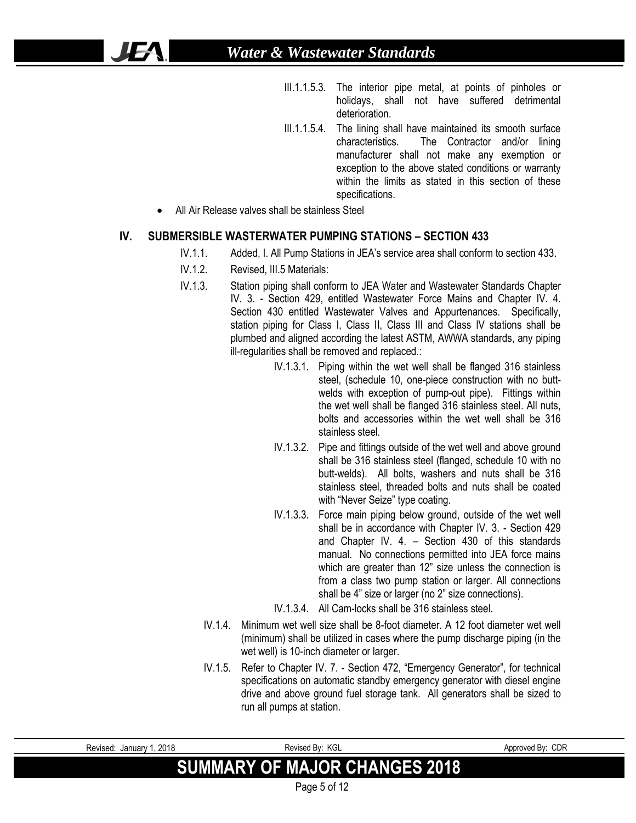- III.1.1.5.3. The interior pipe metal, at points of pinholes or holidays, shall not have suffered detrimental deterioration.
- III.1.1.5.4. The lining shall have maintained its smooth surface characteristics. The Contractor and/or lining manufacturer shall not make any exemption or exception to the above stated conditions or warranty within the limits as stated in this section of these specifications.
- All Air Release valves shall be stainless Steel

IFA

#### **IV. SUBMERSIBLE WASTERWATER PUMPING STATIONS – SECTION 433**

- IV.1.1. Added, I. All Pump Stations in JEA's service area shall conform to section 433.
- IV.1.2. Revised, III.5 Materials:
- IV.1.3. Station piping shall conform to JEA Water and Wastewater Standards Chapter IV. 3. - Section 429, entitled Wastewater Force Mains and Chapter IV. 4. Section 430 entitled Wastewater Valves and Appurtenances. Specifically, station piping for Class I, Class II, Class III and Class IV stations shall be plumbed and aligned according the latest ASTM, AWWA standards, any piping ill-regularities shall be removed and replaced.:
	- IV.1.3.1. Piping within the wet well shall be flanged 316 stainless steel, (schedule 10, one-piece construction with no buttwelds with exception of pump-out pipe). Fittings within the wet well shall be flanged 316 stainless steel. All nuts, bolts and accessories within the wet well shall be 316 stainless steel.
	- IV.1.3.2. Pipe and fittings outside of the wet well and above ground shall be 316 stainless steel (flanged, schedule 10 with no butt-welds). All bolts, washers and nuts shall be 316 stainless steel, threaded bolts and nuts shall be coated with "Never Seize" type coating.
	- IV.1.3.3. Force main piping below ground, outside of the wet well shall be in accordance with Chapter IV. 3. - Section 429 and Chapter IV. 4. – Section 430 of this standards manual. No connections permitted into JEA force mains which are greater than 12" size unless the connection is from a class two pump station or larger. All connections shall be 4" size or larger (no 2" size connections).
	- IV.1.3.4. All Cam-locks shall be 316 stainless steel.
	- IV.1.4. Minimum wet well size shall be 8-foot diameter. A 12 foot diameter wet well (minimum) shall be utilized in cases where the pump discharge piping (in the wet well) is 10-inch diameter or larger.
	- IV.1.5. Refer to Chapter IV. 7. Section 472, "Emergency Generator", for technical specifications on automatic standby emergency generator with diesel engine drive and above ground fuel storage tank. All generators shall be sized to run all pumps at station.

| Revised: January 1, 2018             | Revised Bv: KGL | Approved By: CDR |
|--------------------------------------|-----------------|------------------|
| <b>SUMMARY OF MAJOR CHANGES 2018</b> |                 |                  |
|                                      | Page 5 of 12    |                  |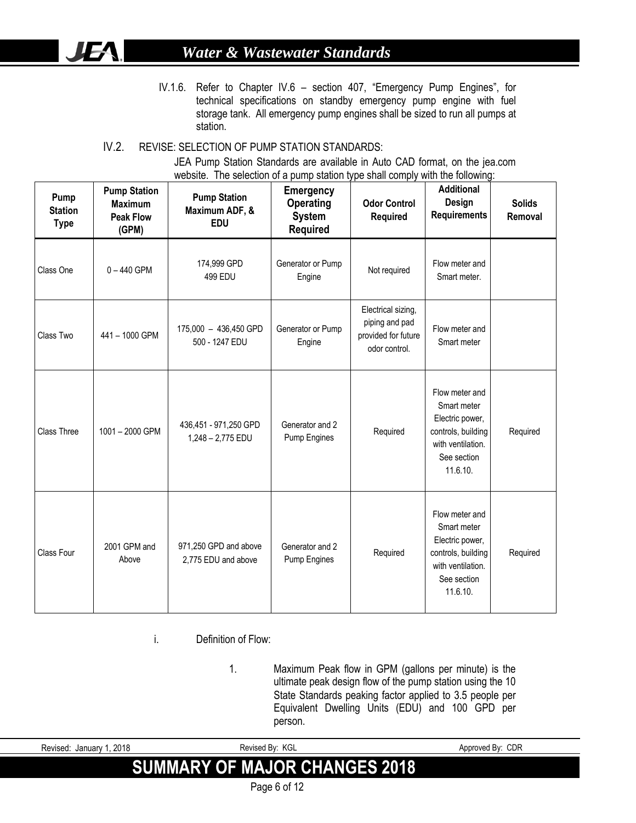# **JEA**

### *Water & Wastewater Standards*

IV.1.6. Refer to Chapter IV.6 – section 407, "Emergency Pump Engines", for technical specifications on standby emergency pump engine with fuel storage tank. All emergency pump engines shall be sized to run all pumps at station.

#### IV.2. REVISE: SELECTION OF PUMP STATION STANDARDS:

JEA Pump Station Standards are available in Auto CAD format, on the jea.com website. The selection of a pump station type shall comply with the following:

| Pump<br><b>Station</b><br><b>Type</b> | <b>Pump Station</b><br><b>Maximum</b><br><b>Peak Flow</b><br>(GPM) | <b>Pump Station</b><br>Maximum ADF, &<br><b>EDU</b> | <b>Emergency</b><br><b>Operating</b><br><b>System</b><br><b>Required</b> | <b>Odor Control</b><br><b>Required</b>                                       | <b>Additional</b><br>Design<br><b>Requirements</b>                                                                     | <b>Solids</b><br>Removal |
|---------------------------------------|--------------------------------------------------------------------|-----------------------------------------------------|--------------------------------------------------------------------------|------------------------------------------------------------------------------|------------------------------------------------------------------------------------------------------------------------|--------------------------|
| Class One                             | $0 - 440$ GPM                                                      | 174,999 GPD<br>499 EDU                              | Generator or Pump<br>Engine                                              | Not required                                                                 | Flow meter and<br>Smart meter.                                                                                         |                          |
| Class Two                             | 441 - 1000 GPM                                                     | 175,000 - 436,450 GPD<br>500 - 1247 EDU             | Generator or Pump<br>Engine                                              | Electrical sizing,<br>piping and pad<br>provided for future<br>odor control. | Flow meter and<br>Smart meter                                                                                          |                          |
| <b>Class Three</b>                    | 1001-2000 GPM                                                      | 436,451 - 971,250 GPD<br>1,248 - 2,775 EDU          | Generator and 2<br>Pump Engines                                          | Required                                                                     | Flow meter and<br>Smart meter<br>Electric power,<br>controls, building<br>with ventilation.<br>See section<br>11.6.10. | Required                 |
| Class Four                            | 2001 GPM and<br>Above                                              | 971,250 GPD and above<br>2,775 EDU and above        | Generator and 2<br>Pump Engines                                          | Required                                                                     | Flow meter and<br>Smart meter<br>Electric power,<br>controls, building<br>with ventilation.<br>See section<br>11.6.10. | Required                 |

i. Definition of Flow:

1. Maximum Peak flow in GPM (gallons per minute) is the ultimate peak design flow of the pump station using the 10 State Standards peaking factor applied to 3.5 people per Equivalent Dwelling Units (EDU) and 100 GPD per person.

| Revised: January 1, 2018             | Revised By: KGL | Approved By: CDR |
|--------------------------------------|-----------------|------------------|
| <b>SUMMARY OF MAJOR CHANGES 2018</b> |                 |                  |
|                                      | Page 6 of 12    |                  |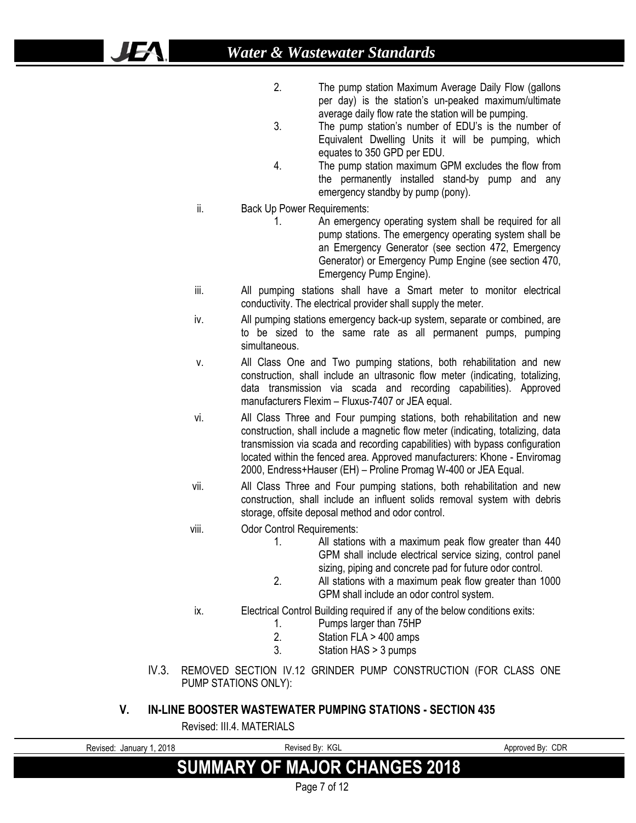- 2. The pump station Maximum Average Daily Flow (gallons per day) is the station's un-peaked maximum/ultimate average daily flow rate the station will be pumping.
- 3. The pump station's number of EDU's is the number of Equivalent Dwelling Units it will be pumping, which equates to 350 GPD per EDU.
- 4. The pump station maximum GPM excludes the flow from the permanently installed stand-by pump and any emergency standby by pump (pony).
- ii. Back Up Power Requirements:

**JEA** 

- 1. An emergency operating system shall be required for all pump stations. The emergency operating system shall be an Emergency Generator (see section 472, Emergency Generator) or Emergency Pump Engine (see section 470, Emergency Pump Engine).
- iii. All pumping stations shall have a Smart meter to monitor electrical conductivity. The electrical provider shall supply the meter.
- iv. All pumping stations emergency back-up system, separate or combined, are to be sized to the same rate as all permanent pumps, pumping simultaneous.
- v. All Class One and Two pumping stations, both rehabilitation and new construction, shall include an ultrasonic flow meter (indicating, totalizing, data transmission via scada and recording capabilities). Approved manufacturers Flexim – Fluxus-7407 or JEA equal.
- vi. All Class Three and Four pumping stations, both rehabilitation and new construction, shall include a magnetic flow meter (indicating, totalizing, data transmission via scada and recording capabilities) with bypass configuration located within the fenced area. Approved manufacturers: Khone - Enviromag 2000, Endress+Hauser (EH) – Proline Promag W-400 or JEA Equal.
- vii. All Class Three and Four pumping stations, both rehabilitation and new construction, shall include an influent solids removal system with debris storage, offsite deposal method and odor control.
- viii. Odor Control Requirements:
	- 1. All stations with a maximum peak flow greater than 440 GPM shall include electrical service sizing, control panel sizing, piping and concrete pad for future odor control.
	- 2. All stations with a maximum peak flow greater than 1000 GPM shall include an odor control system.
	- ix. Electrical Control Building required if any of the below conditions exits:
		- 1. Pumps larger than 75HP<br>2 Station FLA > 400 amps
		- Station FLA > 400 amps
		- 3. Station HAS > 3 pumps
- IV.3. REMOVED SECTION IV.12 GRINDER PUMP CONSTRUCTION (FOR CLASS ONE PUMP STATIONS ONLY):

#### **V. IN-LINE BOOSTER WASTEWATER PUMPING STATIONS - SECTION 435**

Revised: III.4. MATERIALS

| Revised: January 1, 2018 | Revised By: KGL                      | Approved By: CDR |
|--------------------------|--------------------------------------|------------------|
|                          | <b>SUMMARY OF MAJOR CHANGES 2018</b> |                  |
|                          | Page 7 of 12                         |                  |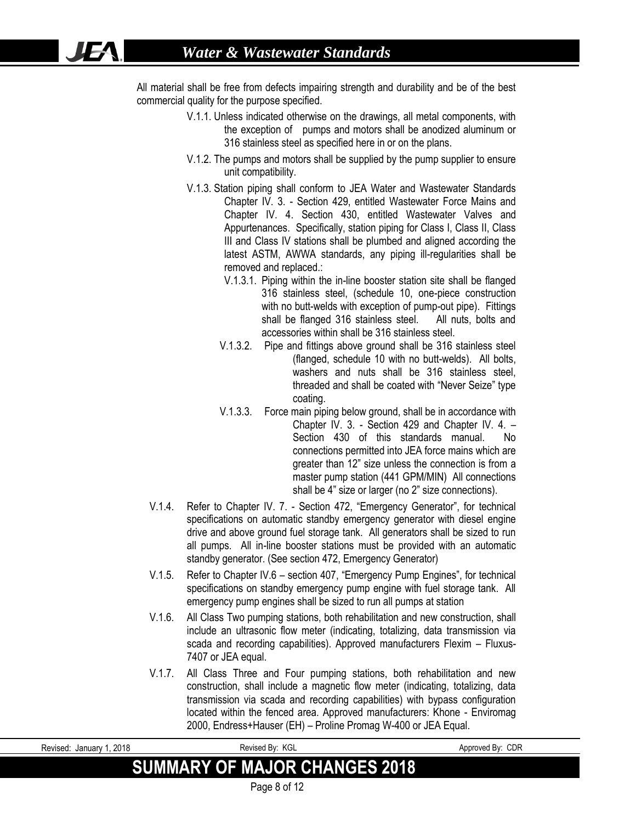IEA

All material shall be free from defects impairing strength and durability and be of the best commercial quality for the purpose specified.

- V.1.1. Unless indicated otherwise on the drawings, all metal components, with the exception of pumps and motors shall be anodized aluminum or 316 stainless steel as specified here in or on the plans.
- V.1.2. The pumps and motors shall be supplied by the pump supplier to ensure unit compatibility.
- V.1.3. Station piping shall conform to JEA Water and Wastewater Standards Chapter IV. 3. - Section 429, entitled Wastewater Force Mains and Chapter IV. 4. Section 430, entitled Wastewater Valves and Appurtenances. Specifically, station piping for Class I, Class II, Class III and Class IV stations shall be plumbed and aligned according the latest ASTM, AWWA standards, any piping ill-regularities shall be removed and replaced.:
	- V.1.3.1. Piping within the in-line booster station site shall be flanged 316 stainless steel, (schedule 10, one-piece construction with no butt-welds with exception of pump-out pipe). Fittings shall be flanged 316 stainless steel. All nuts, bolts and accessories within shall be 316 stainless steel.
	- V.1.3.2. Pipe and fittings above ground shall be 316 stainless steel (flanged, schedule 10 with no butt-welds). All bolts, washers and nuts shall be 316 stainless steel, threaded and shall be coated with "Never Seize" type coating.
	- V.1.3.3. Force main piping below ground, shall be in accordance with Chapter IV. 3. - Section 429 and Chapter IV. 4. – Section 430 of this standards manual. No connections permitted into JEA force mains which are greater than 12" size unless the connection is from a master pump station (441 GPM/MIN) All connections shall be 4" size or larger (no 2" size connections).
- V.1.4. Refer to Chapter IV. 7. Section 472, "Emergency Generator", for technical specifications on automatic standby emergency generator with diesel engine drive and above ground fuel storage tank. All generators shall be sized to run all pumps. All in-line booster stations must be provided with an automatic standby generator. (See section 472, Emergency Generator)
- V.1.5. Refer to Chapter IV.6 section 407, "Emergency Pump Engines", for technical specifications on standby emergency pump engine with fuel storage tank. All emergency pump engines shall be sized to run all pumps at station
- V.1.6. All Class Two pumping stations, both rehabilitation and new construction, shall include an ultrasonic flow meter (indicating, totalizing, data transmission via scada and recording capabilities). Approved manufacturers Flexim – Fluxus-7407 or JEA equal.
- V.1.7. All Class Three and Four pumping stations, both rehabilitation and new construction, shall include a magnetic flow meter (indicating, totalizing, data transmission via scada and recording capabilities) with bypass configuration located within the fenced area. Approved manufacturers: Khone - Enviromag 2000, Endress+Hauser (EH) – Proline Promag W-400 or JEA Equal.

| . 2018<br>Revised:<br>Januarv ″ | - KGL<br>Revised Bv:                 | CDR<br>Approved Bv: |
|---------------------------------|--------------------------------------|---------------------|
|                                 | <b>SUMMARY OF MAJOR CHANGES 2018</b> |                     |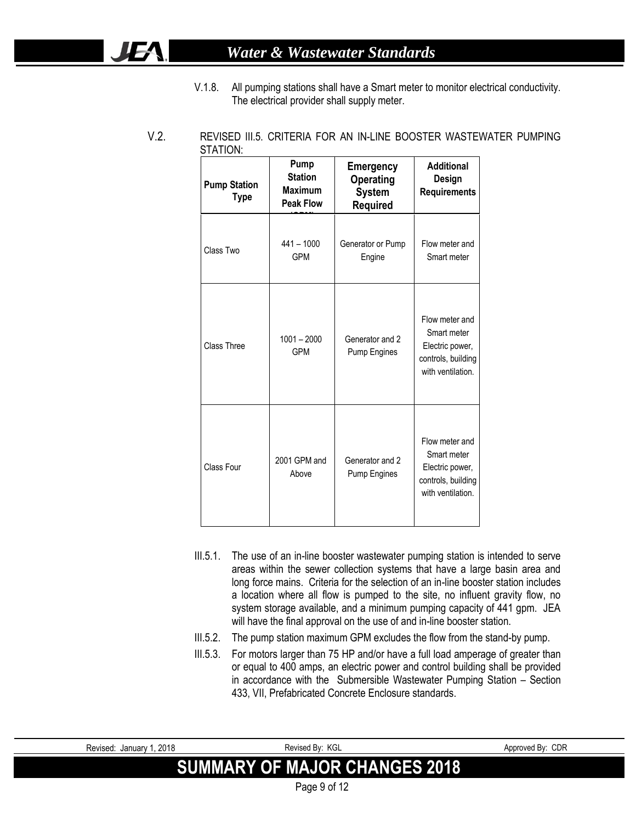### *Water & Wastewater Standards*

**JEA** 

V.1.8. All pumping stations shall have a Smart meter to monitor electrical conductivity. The electrical provider shall supply meter.

| <b>Pump Station</b><br><b>Type</b> | Pump<br><b>Station</b><br><b>Maximum</b><br><b>Peak Flow</b> | <b>Emergency</b><br><b>Operating</b><br><b>System</b><br><b>Required</b> | <b>Additional</b><br>Design<br><b>Requirements</b>                                          |
|------------------------------------|--------------------------------------------------------------|--------------------------------------------------------------------------|---------------------------------------------------------------------------------------------|
| Class Two                          | $441 - 1000$<br><b>GPM</b>                                   | Generator or Pump<br>Engine                                              | Flow meter and<br>Smart meter                                                               |
| Class Three                        | $1001 - 2000$<br><b>GPM</b>                                  | Generator and 2<br>Pump Engines                                          | Flow meter and<br>Smart meter<br>Electric power,<br>controls, building<br>with ventilation. |
| Class Four                         | 2001 GPM and<br>Above                                        | Generator and 2<br>Pump Engines                                          | Flow meter and<br>Smart meter<br>Electric power,<br>controls, building<br>with ventilation. |

V.2. REVISED III.5. CRITERIA FOR AN IN-LINE BOOSTER WASTEWATER PUMPING STATION:

- III.5.1. The use of an in-line booster wastewater pumping station is intended to serve areas within the sewer collection systems that have a large basin area and long force mains. Criteria for the selection of an in-line booster station includes a location where all flow is pumped to the site, no influent gravity flow, no system storage available, and a minimum pumping capacity of 441 gpm. JEA will have the final approval on the use of and in-line booster station.
- III.5.2. The pump station maximum GPM excludes the flow from the stand-by pump.
- III.5.3. For motors larger than 75 HP and/or have a full load amperage of greater than or equal to 400 amps, an electric power and control building shall be provided in accordance with the Submersible Wastewater Pumping Station – Section 433, VII, Prefabricated Concrete Enclosure standards.

| Revised: January 1, 2018             | Revised By: KGL |  |  |  |
|--------------------------------------|-----------------|--|--|--|
| <b>SUMMARY OF MAJOR CHANGES 2018</b> |                 |  |  |  |
|                                      | Page 9 of 12    |  |  |  |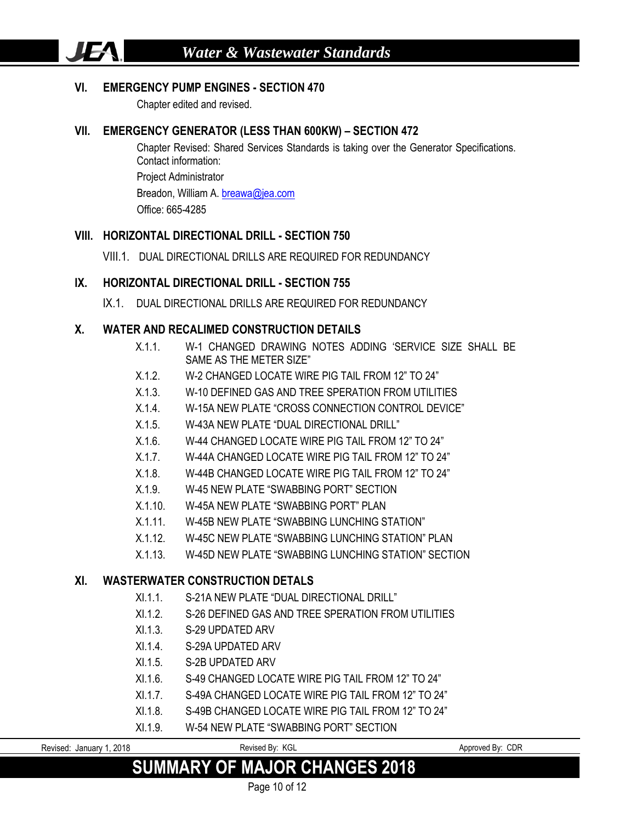#### **VI. EMERGENCY PUMP ENGINES - SECTION 470**

Chapter edited and revised.

**JEA** 

#### **VII. EMERGENCY GENERATOR (LESS THAN 600KW) – SECTION 472**

Chapter Revised: Shared Services Standards is taking over the Generator Specifications. Contact information: Project Administrator Breadon, William A[. breawa@jea.com](mailto:breawa@jea.com) Office: 665-4285

#### **VIII. HORIZONTAL DIRECTIONAL DRILL - SECTION 750**

VIII.1. DUAL DIRECTIONAL DRILLS ARE REQUIRED FOR REDUNDANCY

#### **IX. HORIZONTAL DIRECTIONAL DRILL - SECTION 755**

IX.1. DUAL DIRECTIONAL DRILLS ARE REQUIRED FOR REDUNDANCY

#### **X. WATER AND RECALIMED CONSTRUCTION DETAILS**

- X.1.1. W-1 CHANGED DRAWING NOTES ADDING 'SERVICE SIZE SHALL BE SAME AS THE METER SIZE"
- X.1.2. W-2 CHANGED LOCATE WIRE PIG TAIL FROM 12" TO 24"
- X.1.3. W-10 DEFINED GAS AND TREE SPERATION FROM UTILITIES
- X.1.4. W-15A NEW PLATE "CROSS CONNECTION CONTROL DEVICE"
- X.1.5. W-43A NEW PLATE "DUAL DIRECTIONAL DRILL"
- X.1.6. W-44 CHANGED LOCATE WIRE PIG TAIL FROM 12" TO 24"
- X.1.7. W-44A CHANGED LOCATE WIRE PIG TAIL FROM 12" TO 24"
- X.1.8. W-44B CHANGED LOCATE WIRE PIG TAIL FROM 12" TO 24"
- X.1.9. W-45 NEW PLATE "SWABBING PORT" SECTION
- X.1.10. W-45A NEW PLATE "SWABBING PORT" PLAN
- X.1.11. W-45B NEW PLATE "SWABBING LUNCHING STATION"
- X.1.12. W-45C NEW PLATE "SWABBING LUNCHING STATION" PLAN
- X.1.13. W-45D NEW PLATE "SWABBING LUNCHING STATION" SECTION

#### **XI. WASTERWATER CONSTRUCTION DETALS**

- XI.1.1. S-21A NEW PLATE "DUAL DIRECTIONAL DRILL"
- XI.1.2. S-26 DEFINED GAS AND TREE SPERATION FROM UTILITIES
- XI.1.3. S-29 UPDATED ARV
- XI.1.4. S-29A UPDATED ARV
- XI.1.5. S-2B UPDATED ARV
- XI.1.6. S-49 CHANGED LOCATE WIRE PIG TAIL FROM 12" TO 24"
- XI.1.7. S-49A CHANGED LOCATE WIRE PIG TAIL FROM 12" TO 24"
- XI.1.8. S-49B CHANGED LOCATE WIRE PIG TAIL FROM 12" TO 24"
- XI.1.9. W-54 NEW PLATE "SWABBING PORT" SECTION

| Revised.<br>January | 2018 | $\overline{1/\cap}$<br>Revised<br>.<br>∟טר<br>ים<br>__<br>____ | CDR<br>Annroved<br><br>יר⊓ |
|---------------------|------|----------------------------------------------------------------|----------------------------|
|                     |      |                                                                |                            |

## **SUMMARY OF MAJOR CHANGES 2018**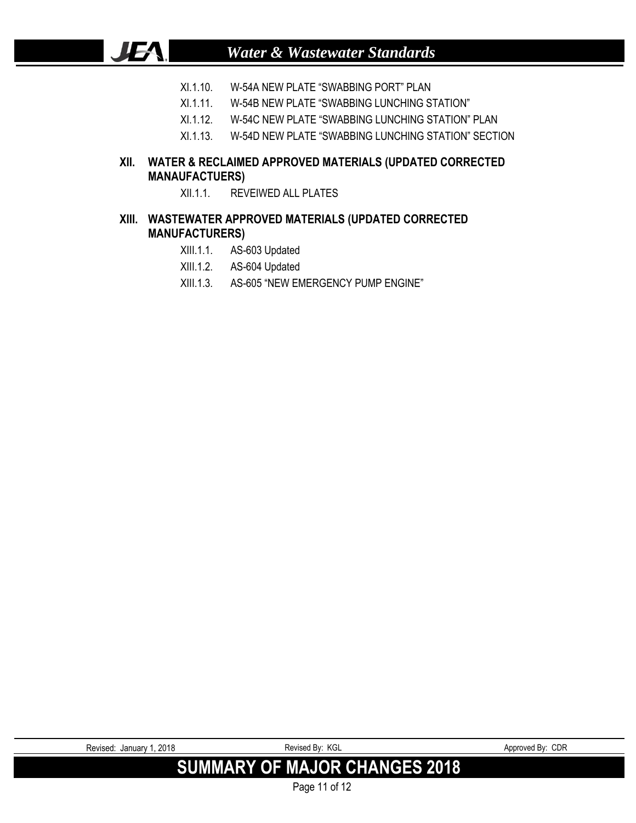- XI.1.10. W-54A NEW PLATE "SWABBING PORT" PLAN
- XI.1.11. W-54B NEW PLATE "SWABBING LUNCHING STATION"
- XI.1.12. W-54C NEW PLATE "SWABBING LUNCHING STATION" PLAN
- XI.1.13. W-54D NEW PLATE "SWABBING LUNCHING STATION" SECTION

#### **XII. WATER & RECLAIMED APPROVED MATERIALS (UPDATED CORRECTED MANAUFACTUERS)**

XII.1.1. REVEIWED ALL PLATES

#### **XIII. WASTEWATER APPROVED MATERIALS (UPDATED CORRECTED MANUFACTURERS)**

XIII.1.1. AS-603 Updated

JEA.

- XIII.1.2. AS-604 Updated
- XIII.1.3. AS-605 "NEW EMERGENCY PUMP ENGINE"

| Revised: January 1, 2018 | Revised By: KGL                      | Approved By: CDR |
|--------------------------|--------------------------------------|------------------|
|                          | <b>SUMMARY OF MAJOR CHANGES 2018</b> |                  |

Page 11 of 12